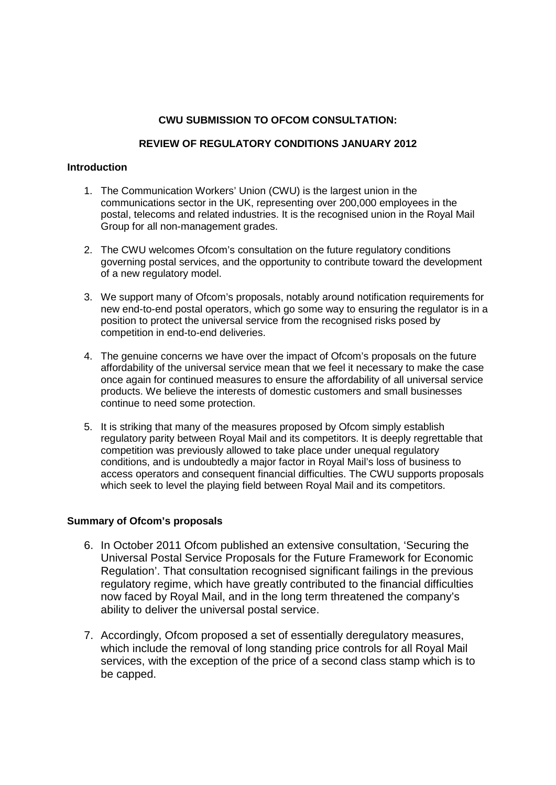# **CWU SUBMISSION TO OFCOM CONSULTATION:**

## **REVIEW OF REGULATORY CONDITIONS JANUARY 2012**

## **Introduction**

- 1. The Communication Workers' Union (CWU) is the largest union in the communications sector in the UK, representing over 200,000 employees in the postal, telecoms and related industries. It is the recognised union in the Royal Mail Group for all non-management grades.
- 2. The CWU welcomes Ofcom's consultation on the future regulatory conditions governing postal services, and the opportunity to contribute toward the development of a new regulatory model.
- 3. We support many of Ofcom's proposals, notably around notification requirements for new end-to-end postal operators, which go some way to ensuring the regulator is in a position to protect the universal service from the recognised risks posed by competition in end-to-end deliveries.
- 4. The genuine concerns we have over the impact of Ofcom's proposals on the future affordability of the universal service mean that we feel it necessary to make the case once again for continued measures to ensure the affordability of all universal service products. We believe the interests of domestic customers and small businesses continue to need some protection.
- 5. It is striking that many of the measures proposed by Ofcom simply establish regulatory parity between Royal Mail and its competitors. It is deeply regrettable that competition was previously allowed to take place under unequal regulatory conditions, and is undoubtedly a major factor in Royal Mail's loss of business to access operators and consequent financial difficulties. The CWU supports proposals which seek to level the playing field between Royal Mail and its competitors.

## **Summary of Ofcom's proposals**

- 6. In October 2011 Ofcom published an extensive consultation, 'Securing the Universal Postal Service Proposals for the Future Framework for Economic Regulation'. That consultation recognised significant failings in the previous regulatory regime, which have greatly contributed to the financial difficulties now faced by Royal Mail, and in the long term threatened the company's ability to deliver the universal postal service.
- 7. Accordingly, Ofcom proposed a set of essentially deregulatory measures, which include the removal of long standing price controls for all Royal Mail services, with the exception of the price of a second class stamp which is to be capped.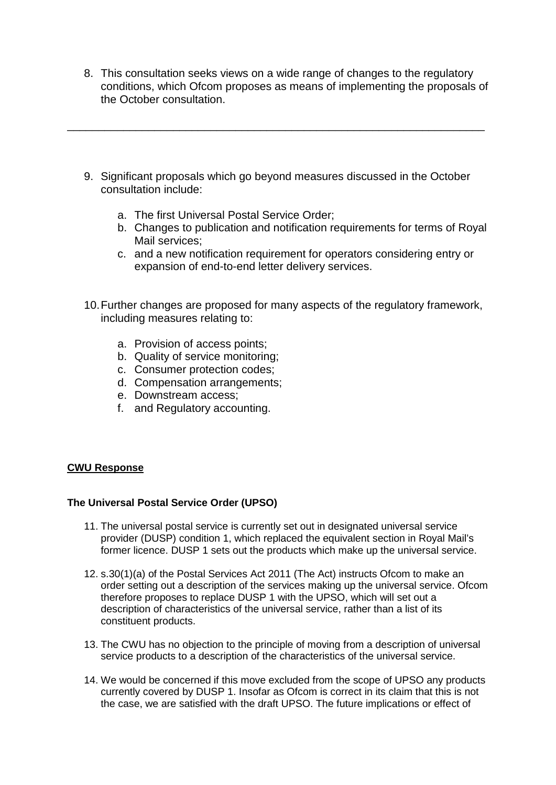- 8. This consultation seeks views on a wide range of changes to the regulatory conditions, which Ofcom proposes as means of implementing the proposals of the October consultation.
- 9. Significant proposals which go beyond measures discussed in the October consultation include:

\_\_\_\_\_\_\_\_\_\_\_\_\_\_\_\_\_\_\_\_\_\_\_\_\_\_\_\_\_\_\_\_\_\_\_\_\_\_\_\_\_\_\_\_\_\_\_\_\_\_\_\_\_\_\_\_\_\_\_\_\_\_\_\_\_\_\_

- a. The first Universal Postal Service Order;
- b. Changes to publication and notification requirements for terms of Royal Mail services;
- c. and a new notification requirement for operators considering entry or expansion of end-to-end letter delivery services.
- 10.Further changes are proposed for many aspects of the regulatory framework, including measures relating to:
	- a. Provision of access points;
	- b. Quality of service monitoring;
	- c. Consumer protection codes;
	- d. Compensation arrangements;
	- e. Downstream access;
	- f. and Regulatory accounting.

## **CWU Response**

## **The Universal Postal Service Order (UPSO)**

- 11. The universal postal service is currently set out in designated universal service provider (DUSP) condition 1, which replaced the equivalent section in Royal Mail's former licence. DUSP 1 sets out the products which make up the universal service.
- 12. s.30(1)(a) of the Postal Services Act 2011 (The Act) instructs Ofcom to make an order setting out a description of the services making up the universal service. Ofcom therefore proposes to replace DUSP 1 with the UPSO, which will set out a description of characteristics of the universal service, rather than a list of its constituent products.
- 13. The CWU has no objection to the principle of moving from a description of universal service products to a description of the characteristics of the universal service.
- 14. We would be concerned if this move excluded from the scope of UPSO any products currently covered by DUSP 1. Insofar as Ofcom is correct in its claim that this is not the case, we are satisfied with the draft UPSO. The future implications or effect of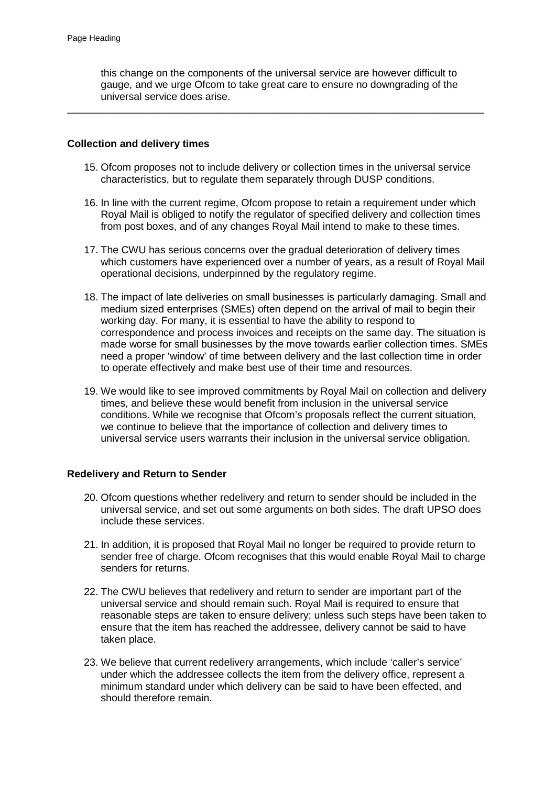this change on the components of the universal service are however difficult to gauge, and we urge Ofcom to take great care to ensure no downgrading of the universal service does arise.

\_\_\_\_\_\_\_\_\_\_\_\_\_\_\_\_\_\_\_\_\_\_\_\_\_\_\_\_\_\_\_\_\_\_\_\_\_\_\_\_\_\_\_\_\_\_\_\_\_\_\_\_\_\_\_\_\_\_\_\_\_\_\_\_\_\_\_\_\_\_\_\_\_

### **Collection and delivery times**

- 15. Ofcom proposes not to include delivery or collection times in the universal service characteristics, but to regulate them separately through DUSP conditions.
- 16. In line with the current regime, Ofcom propose to retain a requirement under which Royal Mail is obliged to notify the regulator of specified delivery and collection times from post boxes, and of any changes Royal Mail intend to make to these times.
- 17. The CWU has serious concerns over the gradual deterioration of delivery times which customers have experienced over a number of years, as a result of Royal Mail operational decisions, underpinned by the regulatory regime.
- 18. The impact of late deliveries on small businesses is particularly damaging. Small and medium sized enterprises (SMEs) often depend on the arrival of mail to begin their working day. For many, it is essential to have the ability to respond to correspondence and process invoices and receipts on the same day. The situation is made worse for small businesses by the move towards earlier collection times. SMEs need a proper 'window' of time between delivery and the last collection time in order to operate effectively and make best use of their time and resources.
- 19. We would like to see improved commitments by Royal Mail on collection and delivery times, and believe these would benefit from inclusion in the universal service conditions. While we recognise that Ofcom's proposals reflect the current situation, we continue to believe that the importance of collection and delivery times to universal service users warrants their inclusion in the universal service obligation.

### **Redelivery and Return to Sender**

- 20. Ofcom questions whether redelivery and return to sender should be included in the universal service, and set out some arguments on both sides. The draft UPSO does include these services.
- 21. In addition, it is proposed that Royal Mail no longer be required to provide return to sender free of charge. Ofcom recognises that this would enable Royal Mail to charge senders for returns.
- 22. The CWU believes that redelivery and return to sender are important part of the universal service and should remain such. Royal Mail is required to ensure that reasonable steps are taken to ensure delivery; unless such steps have been taken to ensure that the item has reached the addressee, delivery cannot be said to have taken place.
- 23. We believe that current redelivery arrangements, which include 'caller's service' under which the addressee collects the item from the delivery office, represent a minimum standard under which delivery can be said to have been effected, and should therefore remain.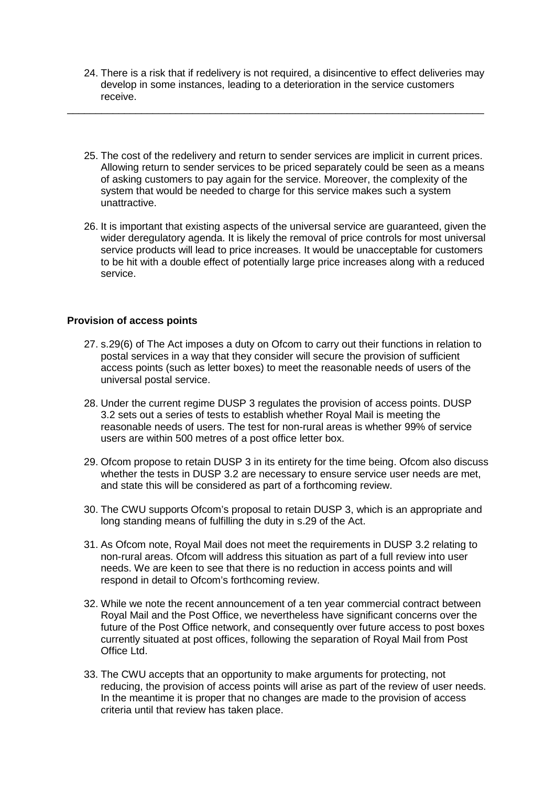24. There is a risk that if redelivery is not required, a disincentive to effect deliveries may develop in some instances, leading to a deterioration in the service customers receive.

\_\_\_\_\_\_\_\_\_\_\_\_\_\_\_\_\_\_\_\_\_\_\_\_\_\_\_\_\_\_\_\_\_\_\_\_\_\_\_\_\_\_\_\_\_\_\_\_\_\_\_\_\_\_\_\_\_\_\_\_\_\_\_\_\_\_\_\_\_\_\_\_\_

- 25. The cost of the redelivery and return to sender services are implicit in current prices. Allowing return to sender services to be priced separately could be seen as a means of asking customers to pay again for the service. Moreover, the complexity of the system that would be needed to charge for this service makes such a system unattractive.
- 26. It is important that existing aspects of the universal service are guaranteed, given the wider deregulatory agenda. It is likely the removal of price controls for most universal service products will lead to price increases. It would be unacceptable for customers to be hit with a double effect of potentially large price increases along with a reduced service.

## **Provision of access points**

- 27. s.29(6) of The Act imposes a duty on Ofcom to carry out their functions in relation to postal services in a way that they consider will secure the provision of sufficient access points (such as letter boxes) to meet the reasonable needs of users of the universal postal service.
- 28. Under the current regime DUSP 3 regulates the provision of access points. DUSP 3.2 sets out a series of tests to establish whether Royal Mail is meeting the reasonable needs of users. The test for non-rural areas is whether 99% of service users are within 500 metres of a post office letter box.
- 29. Ofcom propose to retain DUSP 3 in its entirety for the time being. Ofcom also discuss whether the tests in DUSP 3.2 are necessary to ensure service user needs are met, and state this will be considered as part of a forthcoming review.
- 30. The CWU supports Ofcom's proposal to retain DUSP 3, which is an appropriate and long standing means of fulfilling the duty in s.29 of the Act.
- 31. As Ofcom note, Royal Mail does not meet the requirements in DUSP 3.2 relating to non-rural areas. Ofcom will address this situation as part of a full review into user needs. We are keen to see that there is no reduction in access points and will respond in detail to Ofcom's forthcoming review.
- 32. While we note the recent announcement of a ten year commercial contract between Royal Mail and the Post Office, we nevertheless have significant concerns over the future of the Post Office network, and consequently over future access to post boxes currently situated at post offices, following the separation of Royal Mail from Post Office Ltd.
- 33. The CWU accepts that an opportunity to make arguments for protecting, not reducing, the provision of access points will arise as part of the review of user needs. In the meantime it is proper that no changes are made to the provision of access criteria until that review has taken place.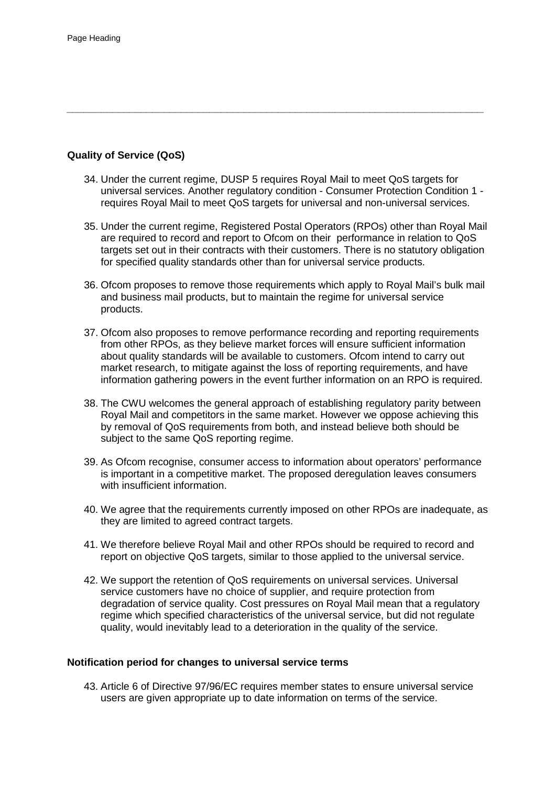# **Quality of Service (QoS)**

34. Under the current regime, DUSP 5 requires Royal Mail to meet QoS targets for universal services. Another regulatory condition - Consumer Protection Condition 1 requires Royal Mail to meet QoS targets for universal and non-universal services.

*\_\_\_\_\_\_\_\_\_\_\_\_\_\_\_\_\_\_\_\_\_\_\_\_\_\_\_\_\_\_\_\_\_\_\_\_\_\_\_\_\_\_\_\_\_\_\_\_\_\_\_\_\_\_\_\_\_\_\_\_\_\_\_\_\_\_\_\_\_\_\_\_\_*

- 35. Under the current regime, Registered Postal Operators (RPOs) other than Royal Mail are required to record and report to Ofcom on their performance in relation to QoS targets set out in their contracts with their customers. There is no statutory obligation for specified quality standards other than for universal service products.
- 36. Ofcom proposes to remove those requirements which apply to Royal Mail's bulk mail and business mail products, but to maintain the regime for universal service products.
- 37. Ofcom also proposes to remove performance recording and reporting requirements from other RPOs, as they believe market forces will ensure sufficient information about quality standards will be available to customers. Ofcom intend to carry out market research, to mitigate against the loss of reporting requirements, and have information gathering powers in the event further information on an RPO is required.
- 38. The CWU welcomes the general approach of establishing regulatory parity between Royal Mail and competitors in the same market. However we oppose achieving this by removal of QoS requirements from both, and instead believe both should be subject to the same QoS reporting regime.
- 39. As Ofcom recognise, consumer access to information about operators' performance is important in a competitive market. The proposed deregulation leaves consumers with insufficient information.
- 40. We agree that the requirements currently imposed on other RPOs are inadequate, as they are limited to agreed contract targets.
- 41. We therefore believe Royal Mail and other RPOs should be required to record and report on objective QoS targets, similar to those applied to the universal service.
- 42. We support the retention of QoS requirements on universal services. Universal service customers have no choice of supplier, and require protection from degradation of service quality. Cost pressures on Royal Mail mean that a regulatory regime which specified characteristics of the universal service, but did not regulate quality, would inevitably lead to a deterioration in the quality of the service.

## **Notification period for changes to universal service terms**

43. Article 6 of Directive 97/96/EC requires member states to ensure universal service users are given appropriate up to date information on terms of the service.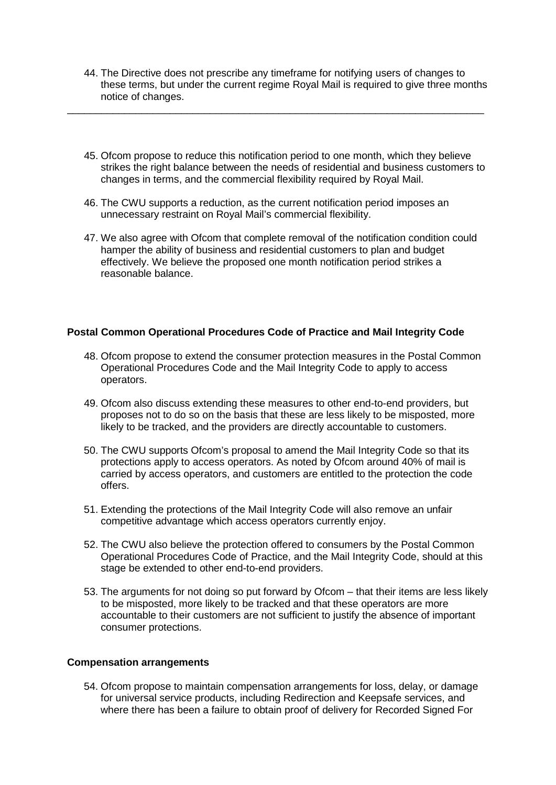44. The Directive does not prescribe any timeframe for notifying users of changes to these terms, but under the current regime Royal Mail is required to give three months notice of changes.

\_\_\_\_\_\_\_\_\_\_\_\_\_\_\_\_\_\_\_\_\_\_\_\_\_\_\_\_\_\_\_\_\_\_\_\_\_\_\_\_\_\_\_\_\_\_\_\_\_\_\_\_\_\_\_\_\_\_\_\_\_\_\_\_\_\_\_\_\_\_\_\_\_

- 45. Ofcom propose to reduce this notification period to one month, which they believe strikes the right balance between the needs of residential and business customers to changes in terms, and the commercial flexibility required by Royal Mail.
- 46. The CWU supports a reduction, as the current notification period imposes an unnecessary restraint on Royal Mail's commercial flexibility.
- 47. We also agree with Ofcom that complete removal of the notification condition could hamper the ability of business and residential customers to plan and budget effectively. We believe the proposed one month notification period strikes a reasonable balance.

### **Postal Common Operational Procedures Code of Practice and Mail Integrity Code**

- 48. Ofcom propose to extend the consumer protection measures in the Postal Common Operational Procedures Code and the Mail Integrity Code to apply to access operators.
- 49. Ofcom also discuss extending these measures to other end-to-end providers, but proposes not to do so on the basis that these are less likely to be misposted, more likely to be tracked, and the providers are directly accountable to customers.
- 50. The CWU supports Ofcom's proposal to amend the Mail Integrity Code so that its protections apply to access operators. As noted by Ofcom around 40% of mail is carried by access operators, and customers are entitled to the protection the code offers.
- 51. Extending the protections of the Mail Integrity Code will also remove an unfair competitive advantage which access operators currently enjoy.
- 52. The CWU also believe the protection offered to consumers by the Postal Common Operational Procedures Code of Practice, and the Mail Integrity Code, should at this stage be extended to other end-to-end providers.
- 53. The arguments for not doing so put forward by Ofcom that their items are less likely to be misposted, more likely to be tracked and that these operators are more accountable to their customers are not sufficient to justify the absence of important consumer protections.

### **Compensation arrangements**

54. Ofcom propose to maintain compensation arrangements for loss, delay, or damage for universal service products, including Redirection and Keepsafe services, and where there has been a failure to obtain proof of delivery for Recorded Signed For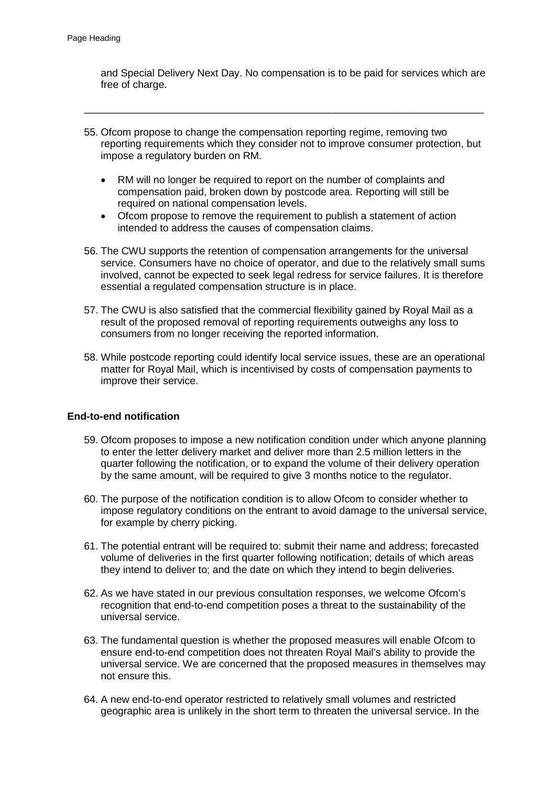and Special Delivery Next Day. No compensation is to be paid for services which are free of charge.

55. Ofcom propose to change the compensation reporting regime, removing two reporting requirements which they consider not to improve consumer protection, but impose a regulatory burden on RM.

\_\_\_\_\_\_\_\_\_\_\_\_\_\_\_\_\_\_\_\_\_\_\_\_\_\_\_\_\_\_\_\_\_\_\_\_\_\_\_\_\_\_\_\_\_\_\_\_\_\_\_\_\_\_\_\_\_\_\_\_\_\_\_\_\_\_\_\_\_\_

- RM will no longer be required to report on the number of complaints and compensation paid, broken down by postcode area. Reporting will still be required on national compensation levels.
- Ofcom propose to remove the requirement to publish a statement of action intended to address the causes of compensation claims.
- 56. The CWU supports the retention of compensation arrangements for the universal service. Consumers have no choice of operator, and due to the relatively small sums involved, cannot be expected to seek legal redress for service failures. It is therefore essential a regulated compensation structure is in place.
- 57. The CWU is also satisfied that the commercial flexibility gained by Royal Mail as a result of the proposed removal of reporting requirements outweighs any loss to consumers from no longer receiving the reported information.
- 58. While postcode reporting could identify local service issues, these are an operational matter for Royal Mail, which is incentivised by costs of compensation payments to improve their service.

### **End-to-end notification**

- 59. Ofcom proposes to impose a new notification condition under which anyone planning to enter the letter delivery market and deliver more than 2.5 million letters in the quarter following the notification, or to expand the volume of their delivery operation by the same amount, will be required to give 3 months notice to the regulator.
- 60. The purpose of the notification condition is to allow Ofcom to consider whether to impose regulatory conditions on the entrant to avoid damage to the universal service, for example by cherry picking.
- 61. The potential entrant will be required to: submit their name and address; forecasted volume of deliveries in the first quarter following notification; details of which areas they intend to deliver to; and the date on which they intend to begin deliveries.
- 62. As we have stated in our previous consultation responses, we welcome Ofcom's recognition that end-to-end competition poses a threat to the sustainability of the universal service.
- 63. The fundamental question is whether the proposed measures will enable Ofcom to ensure end-to-end competition does not threaten Royal Mail's ability to provide the universal service. We are concerned that the proposed measures in themselves may not ensure this.
- 64. A new end-to-end operator restricted to relatively small volumes and restricted geographic area is unlikely in the short term to threaten the universal service. In the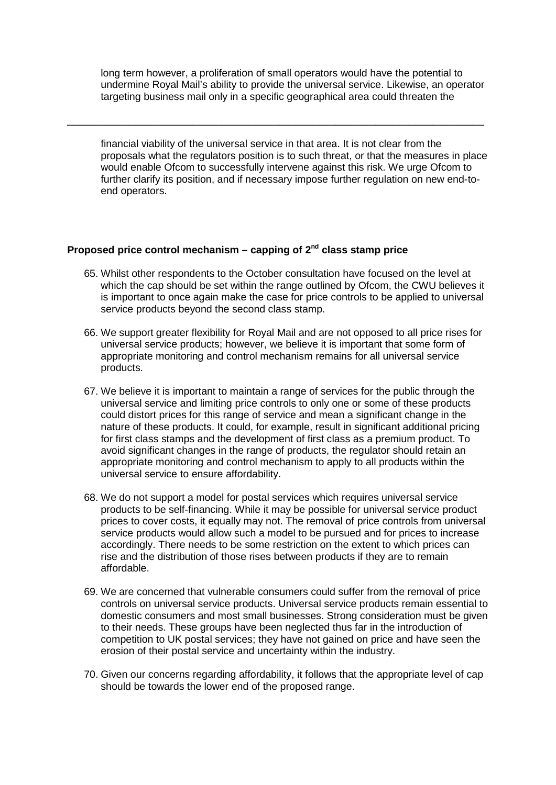long term however, a proliferation of small operators would have the potential to undermine Royal Mail's ability to provide the universal service. Likewise, an operator targeting business mail only in a specific geographical area could threaten the

\_\_\_\_\_\_\_\_\_\_\_\_\_\_\_\_\_\_\_\_\_\_\_\_\_\_\_\_\_\_\_\_\_\_\_\_\_\_\_\_\_\_\_\_\_\_\_\_\_\_\_\_\_\_\_\_\_\_\_\_\_\_\_\_\_\_\_\_\_\_\_\_\_

financial viability of the universal service in that area. It is not clear from the proposals what the regulators position is to such threat, or that the measures in place would enable Ofcom to successfully intervene against this risk. We urge Ofcom to further clarify its position, and if necessary impose further regulation on new end-toend operators.

# **Proposed price control mechanism – capping of 2nd class stamp price**

- 65. Whilst other respondents to the October consultation have focused on the level at which the cap should be set within the range outlined by Ofcom, the CWU believes it is important to once again make the case for price controls to be applied to universal service products beyond the second class stamp.
- 66. We support greater flexibility for Royal Mail and are not opposed to all price rises for universal service products; however, we believe it is important that some form of appropriate monitoring and control mechanism remains for all universal service products.
- 67. We believe it is important to maintain a range of services for the public through the universal service and limiting price controls to only one or some of these products could distort prices for this range of service and mean a significant change in the nature of these products. It could, for example, result in significant additional pricing for first class stamps and the development of first class as a premium product. To avoid significant changes in the range of products, the regulator should retain an appropriate monitoring and control mechanism to apply to all products within the universal service to ensure affordability.
- 68. We do not support a model for postal services which requires universal service products to be self-financing. While it may be possible for universal service product prices to cover costs, it equally may not. The removal of price controls from universal service products would allow such a model to be pursued and for prices to increase accordingly. There needs to be some restriction on the extent to which prices can rise and the distribution of those rises between products if they are to remain affordable.
- 69. We are concerned that vulnerable consumers could suffer from the removal of price controls on universal service products. Universal service products remain essential to domestic consumers and most small businesses. Strong consideration must be given to their needs. These groups have been neglected thus far in the introduction of competition to UK postal services; they have not gained on price and have seen the erosion of their postal service and uncertainty within the industry.
- 70. Given our concerns regarding affordability, it follows that the appropriate level of cap should be towards the lower end of the proposed range.